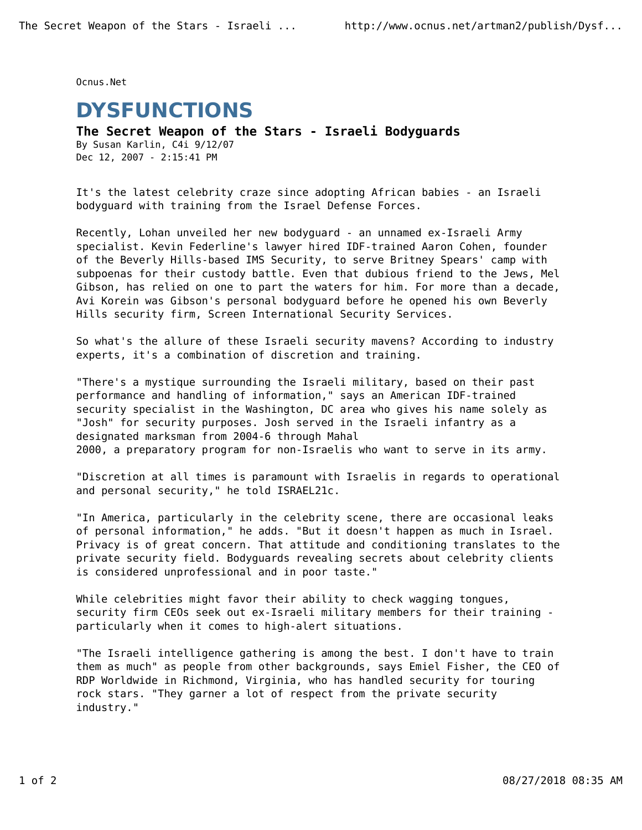Ocnus.Net

## **DYSFUNCTIONS**

**The Secret Weapon of the Stars - Israeli Bodyguards** By Susan Karlin, C4i 9/12/07 Dec 12, 2007 - 2:15:41 PM

It's the latest celebrity craze since adopting African babies - an Israeli bodyguard with training from the Israel Defense Forces.

Recently, Lohan unveiled her new bodyguard - an unnamed ex-Israeli Army specialist. Kevin Federline's lawyer hired IDF-trained Aaron Cohen, founder of the Beverly Hills-based IMS Security, to serve Britney Spears' camp with subpoenas for their custody battle. Even that dubious friend to the Jews, Mel Gibson, has relied on one to part the waters for him. For more than a decade, Avi Korein was Gibson's personal bodyguard before he opened his own Beverly Hills security firm, Screen International Security Services.

So what's the allure of these Israeli security mavens? According to industry experts, it's a combination of discretion and training.

"There's a mystique surrounding the Israeli military, based on their past performance and handling of information," says an American IDF-trained security specialist in the Washington, DC area who gives his name solely as "Josh" for security purposes. Josh served in the Israeli infantry as a designated marksman from 2004-6 through Mahal 2000, a preparatory program for non-Israelis who want to serve in its army.

"Discretion at all times is paramount with Israelis in regards to operational and personal security," he told ISRAEL21c.

"In America, particularly in the celebrity scene, there are occasional leaks of personal information," he adds. "But it doesn't happen as much in Israel. Privacy is of great concern. That attitude and conditioning translates to the private security field. Bodyguards revealing secrets about celebrity clients is considered unprofessional and in poor taste."

While celebrities might favor their ability to check wagging tongues, security firm CEOs seek out ex-Israeli military members for their training particularly when it comes to high-alert situations.

"The Israeli intelligence gathering is among the best. I don't have to train them as much" as people from other backgrounds, says Emiel Fisher, the CEO of RDP Worldwide in Richmond, Virginia, who has handled security for touring rock stars. "They garner a lot of respect from the private security industry."